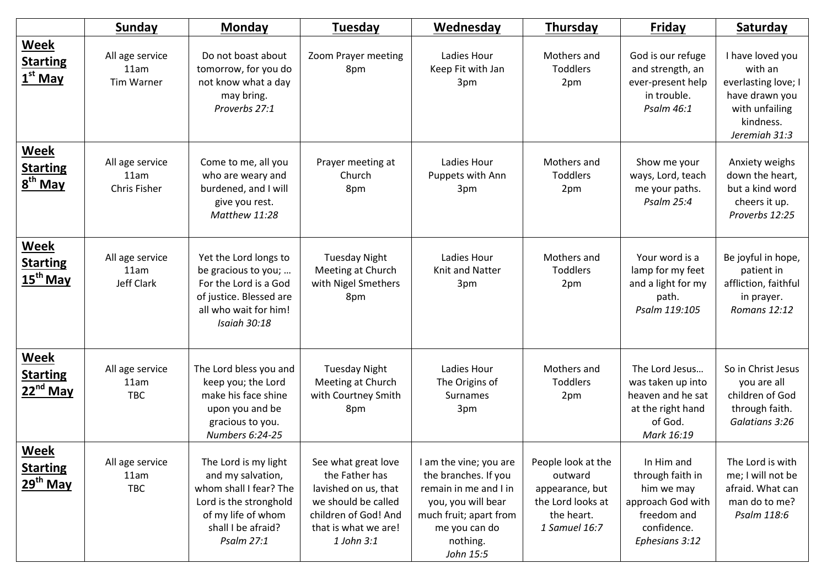|                                                        | <b>Sunday</b>                           | <b>Monday</b>                                                                                                                                           | Tuesday                                                                                                                                            | Wednesday                                                                                                                                                         | <b>Thursday</b>                                                                                      | <b>Friday</b>                                                                                                     | <b>Saturday</b>                                                                                                      |
|--------------------------------------------------------|-----------------------------------------|---------------------------------------------------------------------------------------------------------------------------------------------------------|----------------------------------------------------------------------------------------------------------------------------------------------------|-------------------------------------------------------------------------------------------------------------------------------------------------------------------|------------------------------------------------------------------------------------------------------|-------------------------------------------------------------------------------------------------------------------|----------------------------------------------------------------------------------------------------------------------|
| <u>Week</u><br><b>Starting</b><br>1 <sup>st</sup> May  | All age service<br>11am<br>Tim Warner   | Do not boast about<br>tomorrow, for you do<br>not know what a day<br>may bring.<br>Proverbs 27:1                                                        | Zoom Prayer meeting<br>8pm                                                                                                                         | Ladies Hour<br>Keep Fit with Jan<br>3pm                                                                                                                           | Mothers and<br>Toddlers<br>2pm                                                                       | God is our refuge<br>and strength, an<br>ever-present help<br>in trouble.<br>Psalm 46:1                           | I have loved you<br>with an<br>everlasting love; I<br>have drawn you<br>with unfailing<br>kindness.<br>Jeremiah 31:3 |
| <u>Week</u><br><b>Starting</b><br>8 <sup>th</sup> May  | All age service<br>11am<br>Chris Fisher | Come to me, all you<br>who are weary and<br>burdened, and I will<br>give you rest.<br>Matthew 11:28                                                     | Prayer meeting at<br>Church<br>8pm                                                                                                                 | Ladies Hour<br>Puppets with Ann<br>3pm                                                                                                                            | Mothers and<br><b>Toddlers</b><br>2pm                                                                | Show me your<br>ways, Lord, teach<br>me your paths.<br>Psalm 25:4                                                 | Anxiety weighs<br>down the heart,<br>but a kind word<br>cheers it up.<br>Proverbs 12:25                              |
| <u>Week</u><br><b>Starting</b><br>15 <sup>th</sup> May | All age service<br>11am<br>Jeff Clark   | Yet the Lord longs to<br>be gracious to you;<br>For the Lord is a God<br>of justice. Blessed are<br>all who wait for him!<br><b>Isaiah 30:18</b>        | <b>Tuesday Night</b><br>Meeting at Church<br>with Nigel Smethers<br>8pm                                                                            | Ladies Hour<br>Knit and Natter<br>3pm                                                                                                                             | Mothers and<br>Toddlers<br>2pm                                                                       | Your word is a<br>lamp for my feet<br>and a light for my<br>path.<br>Psalm 119:105                                | Be joyful in hope,<br>patient in<br>affliction, faithful<br>in prayer.<br>Romans 12:12                               |
| <u>Week</u><br><b>Starting</b><br>$22nd$ May           | All age service<br>11am<br><b>TBC</b>   | The Lord bless you and<br>keep you; the Lord<br>make his face shine<br>upon you and be<br>gracious to you.<br>Numbers 6:24-25                           | <b>Tuesday Night</b><br>Meeting at Church<br>with Courtney Smith<br>8pm                                                                            | Ladies Hour<br>The Origins of<br>Surnames<br>3pm                                                                                                                  | Mothers and<br><b>Toddlers</b><br>2pm                                                                | The Lord Jesus<br>was taken up into<br>heaven and he sat<br>at the right hand<br>of God.<br>Mark 16:19            | So in Christ Jesus<br>you are all<br>children of God<br>through faith.<br>Galatians 3:26                             |
| <b>Week</b><br><b>Starting</b><br>$29^{th}$ May        | All age service<br>11am<br>TBC          | The Lord is my light<br>and my salvation,<br>whom shall I fear? The<br>Lord is the stronghold<br>of my life of whom<br>shall I be afraid?<br>Psalm 27:1 | See what great love<br>the Father has<br>lavished on us, that<br>we should be called<br>children of God! And<br>that is what we are!<br>1 John 3:1 | I am the vine; you are<br>the branches. If you<br>remain in me and I in<br>you, you will bear<br>much fruit; apart from<br>me you can do<br>nothing.<br>John 15:5 | People look at the<br>outward<br>appearance, but<br>the Lord looks at<br>the heart.<br>1 Samuel 16:7 | In Him and<br>through faith in<br>him we may<br>approach God with<br>freedom and<br>confidence.<br>Ephesians 3:12 | The Lord is with<br>me; I will not be<br>afraid. What can<br>man do to me?<br>Psalm 118:6                            |